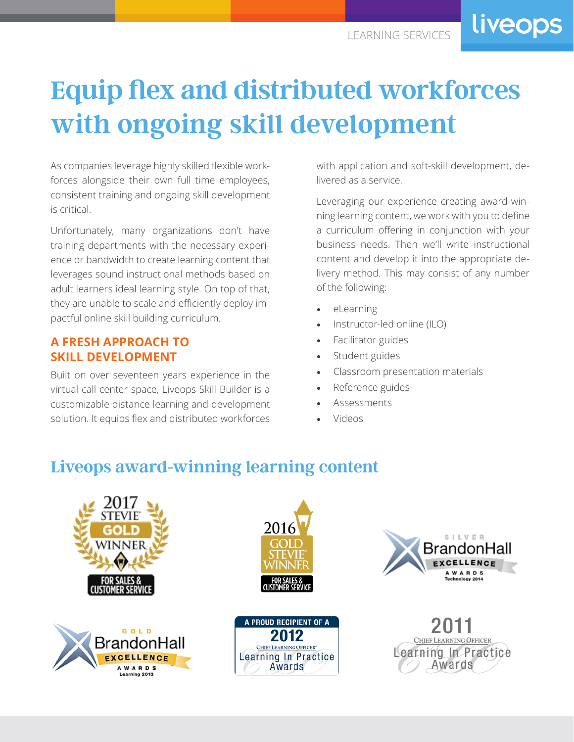liveops

# **Equip flex and distributed workforces with ongoing skill development**

As companies leverage highly skilled flexible workforces alongside their own full time employees, consistent training and ongoing skill development is critical.

Unfortunately, many organizations don't have training departments with the necessary experience or bandwidth to create learning content that leverages sound instructional methods based on adult learners ideal learning style. On top of that, they are unable to scale and efficiently deploy impactful online skill building curriculum.

### **A FRESH APPROACH TO SKILL DEVELOPMENT**

Built on over seventeen years experience in the virtual call center space, Liveops Skill Builder is a customizable distance learning and development solution. It equips flex and distributed workforces with application and soft-skill development, delivered as a service.

Leveraging our experience creating award-winning learning content, we work with you to define a curriculum offering in conjunction with your business needs. Then we'll write instructional content and develop it into the appropriate delivery method. This may consist of any number of the following:

- eLearning
- Instructor-led online (ILO)
- Facilitator guides
- Student guides
- Classroom presentation materials
- Reference guides
- **Assessments**
- Videos

## **Liveops award-winning learning content**